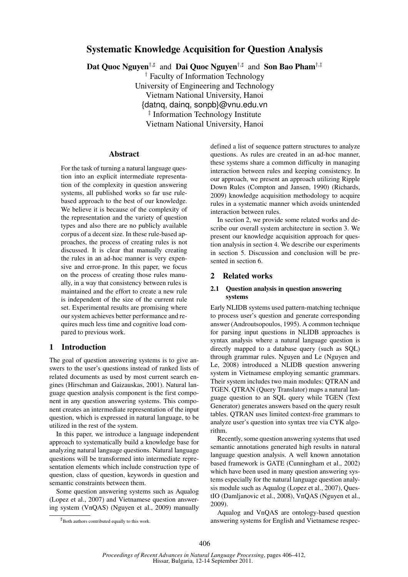# **Systematic Knowledge Acquisition for Question Analysis**

**Dat Quoc Nguyen**†,] and **Dai Quoc Nguyen**†,] and **Son Bao Pham**†,‡

† Faculty of Information Technology University of Engineering and Technology Vietnam National University, Hanoi {datnq, dainq, sonpb}@vnu.edu.vn ‡ Information Technology Institute Vietnam National University, Hanoi

### **Abstract**

For the task of turning a natural language question into an explicit intermediate representation of the complexity in question answering systems, all published works so far use rulebased approach to the best of our knowledge. We believe it is because of the complexity of the representation and the variety of question types and also there are no publicly available corpus of a decent size. In these rule-based approaches, the process of creating rules is not discussed. It is clear that manually creating the rules in an ad-hoc manner is very expensive and error-prone. In this paper, we focus on the process of creating those rules manually, in a way that consistency between rules is maintained and the effort to create a new rule is independent of the size of the current rule set. Experimental results are promising where our system achieves better performance and requires much less time and cognitive load compared to previous work.

## **1 Introduction**

The goal of question answering systems is to give answers to the user's questions instead of ranked lists of related documents as used by most current search engines (Hirschman and Gaizauskas, 2001). Natural language question analysis component is the first component in any question answering systems. This component creates an intermediate representation of the input question, which is expressed in natural language, to be utilized in the rest of the system.

In this paper, we introduce a language independent approach to systematically build a knowledge base for analyzing natural language questions. Natural language questions will be transformed into intermediate representation elements which include construction type of question, class of question, keywords in question and semantic constraints between them.

Some question answering systems such as Aqualog (Lopez et al., 2007) and Vietnamese question answering system (VnQAS) (Nguyen et al., 2009) manually defined a list of sequence pattern structures to analyze questions. As rules are created in an ad-hoc manner, these systems share a common difficulty in managing interaction between rules and keeping consistency. In our approach, we present an approach utilizing Ripple Down Rules (Compton and Jansen, 1990) (Richards, 2009) knowledge acquisition methodology to acquire rules in a systematic manner which avoids unintended interaction between rules.

In section 2, we provide some related works and describe our overall system architecture in section 3. We present our knowledge acquisition approach for question analysis in section 4. We describe our experiments in section 5. Discussion and conclusion will be presented in section 6.

### **2 Related works**

### **2.1 Question analysis in question answering systems**

Early NLIDB systems used pattern-matching technique to process user's question and generate corresponding answer (Androutsopoulos, 1995). A common technique for parsing input questions in NLIDB approaches is syntax analysis where a natural language question is directly mapped to a database query (such as SQL) through grammar rules. Nguyen and Le (Nguyen and Le, 2008) introduced a NLIDB question answering system in Vietnamese employing semantic grammars. Their system includes two main modules: QTRAN and TGEN. QTRAN (Query Translator) maps a natural language question to an SQL query while TGEN (Text Generator) generates answers based on the query result tables. QTRAN uses limited context-free grammars to analyze user's question into syntax tree via CYK algorithm.

Recently, some question answering systems that used semantic annotations generated high results in natural language question analysis. A well known annotation based framework is GATE (Cunningham et al., 2002) which have been used in many question answering systems especially for the natural language question analysis module such as Aqualog (Lopez et al., 2007), QuestIO (Damljanovic et al., 2008), VnQAS (Nguyen et al., 2009).

Aqualog and VnQAS are ontology-based question answering systems for English and Vietnamese respec-

<sup>]</sup> Both authors contributed equally to this work.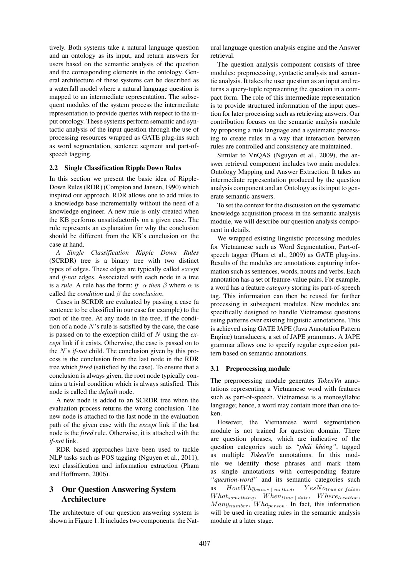tively. Both systems take a natural language question and an ontology as its input, and return answers for users based on the semantic analysis of the question and the corresponding elements in the ontology. General architecture of these systems can be described as a waterfall model where a natural language question is mapped to an intermediate representation. The subsequent modules of the system process the intermediate representation to provide queries with respect to the input ontology. These systems perform semantic and syntactic analysis of the input question through the use of processing resources wrapped as GATE plug-ins such as word segmentation, sentence segment and part-ofspeech tagging.

### **2.2 Single Classification Ripple Down Rules**

In this section we present the basic idea of Ripple-Down Rules (RDR) (Compton and Jansen, 1990) which inspired our approach. RDR allows one to add rules to a knowledge base incrementally without the need of a knowledge engineer. A new rule is only created when the KB performs unsatisfactorily on a given case. The rule represents an explanation for why the conclusion should be different from the KB's conclusion on the case at hand.

*A Single Classification Ripple Down Rules* (SCRDR) tree is a binary tree with two distinct types of edges. These edges are typically called *except* and *if-not* edges. Associated with each node in a tree is a *rule*. A rule has the form: *if*  $\alpha$  *then*  $\beta$  where  $\alpha$  is called the *condition* and β the *conclusion*.

Cases in SCRDR are evaluated by passing a case (a sentence to be classified in our case for example) to the root of the tree. At any node in the tree, if the condition of a node  $N$ 's rule is satisfied by the case, the case is passed on to the exception child of N using the *except* link if it exists. Otherwise, the case is passed on to the N's *if-not* child. The conclusion given by this process is the conclusion from the last node in the RDR tree which *fired* (satisfied by the case). To ensure that a conclusion is always given, the root node typically contains a trivial condition which is always satisfied. This node is called the *default* node.

A new node is added to an SCRDR tree when the evaluation process returns the wrong conclusion. The new node is attached to the last node in the evaluation path of the given case with the *except* link if the last node is the *fired* rule. Otherwise, it is attached with the *if-not* link.

RDR based approaches have been used to tackle NLP tasks such as POS tagging (Nguyen et al., 2011), text classification and information extraction (Pham and Hoffmann, 2006).

## **3 Our Question Answering System Architecture**

The architecture of our question answering system is shown in Figure 1. It includes two components: the Natural language question analysis engine and the Answer retrieval.

The question analysis component consists of three modules: preprocessing, syntactic analysis and semantic analysis. It takes the user question as an input and returns a query-tuple representing the question in a compact form. The role of this intermediate representation is to provide structured information of the input question for later processing such as retrieving answers. Our contribution focuses on the semantic analysis module by proposing a rule language and a systematic processing to create rules in a way that interaction between rules are controlled and consistency are maintained.

Similar to VnQAS (Nguyen et al., 2009), the answer retrieval component includes two main modules: Ontology Mapping and Answer Extraction. It takes an intermediate representation produced by the question analysis component and an Ontology as its input to generate semantic answers.

To set the context for the discussion on the systematic knowledge acquisition process in the semantic analysis module, we will describe our question analysis component in details.

We wrapped existing linguistic processing modules for Vietnamese such as Word Segmentation, Part-ofspeech tagger (Pham et al., 2009) as GATE plug-ins. Results of the modules are annotations capturing information such as sentences, words, nouns and verbs. Each annotation has a set of feature-value pairs. For example, a word has a feature *category* storing its part-of-speech tag. This information can then be reused for further processing in subsequent modules. New modules are specifically designed to handle Vietnamese questions using patterns over existing linguistic annotations. This is achieved using GATE JAPE (Java Annotation Pattern Engine) transducers, a set of JAPE grammars. A JAPE grammar allows one to specify regular expression pattern based on semantic annotations.

#### **3.1 Preprocessing module**

The preprocessing module generates *TokenVn* annotations representing a Vietnamese word with features such as part-of-speech. Vietnamese is a monosyllabic language; hence, a word may contain more than one token.

However, the Vietnamese word segmentation module is not trained for question domain. There are question phrases, which are indicative of the question categories such as *"phải không"*, tagged as multiple *TokenVn* annotations. In this module we identify those phrases and mark them as single annotations with corresponding feature *"question-word"* and its semantic categories such as  $How Why_{cause | method}, YesNo_{true or false},$  $What_{something}, \quad When_{time \, | \, date}, \quad Where_{location},$  $Many_{number}, Who_{person}.$  In fact, this information will be used in creating rules in the semantic analysis module at a later stage.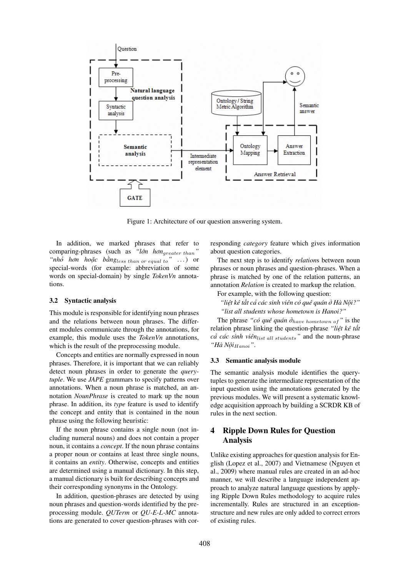

Figure 1: Architecture of our question answering system.

In addition, we marked phrases that refer to comparing-phrases (such as *"lớn hơn*greater than*" "nhỏ hơn hoặc bằng*less than or equal to*"* . . . ) or special-words (for example: abbreviation of some words on special-domain) by single *TokenVn* annotations.

#### **3.2 Syntactic analysis**

This module is responsible for identifying noun phrases and the relations between noun phrases. The different modules communicate through the annotations, for example, this module uses the *TokenVn* annotations, which is the result of the preprocessing module.

Concepts and entities are normally expressed in noun phrases. Therefore, it is important that we can reliably detect noun phrases in order to generate the *querytuple*. We use *JAPE* grammars to specify patterns over annotations. When a noun phrase is matched, an annotation *NounPhrase* is created to mark up the noun phrase. In addition, its *type* feature is used to identify the concept and entity that is contained in the noun phrase using the following heuristic:

If the noun phrase contains a single noun (not including numeral nouns) and does not contain a proper noun, it contains a *concept*. If the noun phrase contains a proper noun or contains at least three single nouns, it contains an *entity*. Otherwise, concepts and entities are determined using a manual dictionary. In this step, a manual dictionary is built for describing concepts and their corresponding synonyms in the Ontology.

In addition, question-phrases are detected by using noun phrases and question-words identified by the preprocessing module. *QUTerm* or *QU-E-L-MC* annotations are generated to cover question-phrases with corresponding *category* feature which gives information about question categories.

The next step is to identify *relation*s between noun phrases or noun phrases and question-phrases. When a phrase is matched by one of the relation patterns, an annotation *Relation* is created to markup the relation.

For example, with the following question:

*"liệt kê tất cả các sinh viên có quê quán ở Hà Nội?" "list all students whose hometown is Hanoi?"*

The phrase "có quê quán  $\delta_{have\ home{town\ of}}$ " is the relation phrase linking the question-phrase *"liệt kê tất cả các sinh viên*list all students*"* and the noun-phrase *"Hà Nội*Hanoi*"*.

#### **3.3 Semantic analysis module**

The semantic analysis module identifies the querytuples to generate the intermediate representation of the input question using the annotations generated by the previous modules. We will present a systematic knowledge acquisition approach by building a SCRDR KB of rules in the next section.

## **4 Ripple Down Rules for Question Analysis**

Unlike existing approaches for question analysis for English (Lopez et al., 2007) and Vietnamese (Nguyen et al., 2009) where manual rules are created in an ad-hoc manner, we will describe a language independent approach to analyze natural language questions by applying Ripple Down Rules methodology to acquire rules incrementally. Rules are structured in an exceptionstructure and new rules are only added to correct errors of existing rules.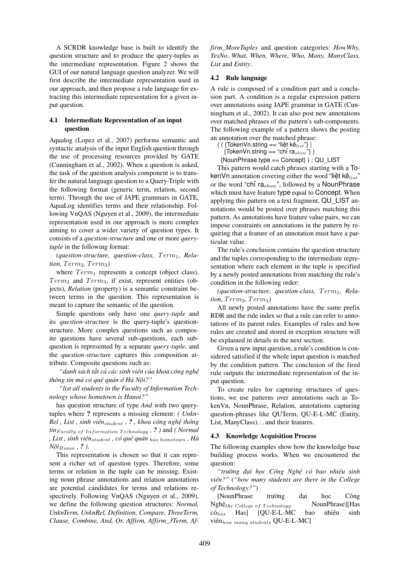A SCRDR knowledge base is built to identify the question structure and to produce the query-tuples as the intermediate representation. Figure 2 shows the GUI of our natural language question analyzer. We will first describe the intermediate representation used in our approach, and then propose a rule language for extracting this intermediate representation for a given input question.

### **4.1 Intermediate Representation of an input question**

Aqualog (Lopez et al., 2007) performs semantic and syntactic analysis of the input English question through the use of processing resources provided by GATE (Cunningham et al., 2002). When a question is asked, the task of the question analysis component is to transfer the natural language question to a Query-Triple with the following format (generic term, relation, second term). Through the use of JAPE grammars in GATE, AquaLog identifies terms and their relationship. Following VnQAS (Nguyen et al., 2009), the intermediate representation used in our approach is more complex aiming to cover a wider variety of question types. It consists of a *question-structure* and one or more *querytuple* in the following format:

(*question-structure, question-class, Term<sub>1</sub>, Rela-* $$ 

where  $Term_1$  represents a concept (object class),  $Term_2$  and  $Term_3$ , if exist, represent entities (objects), *Relation* (property) is a semantic constraint between terms in the question. This representation is meant to capture the semantic of the question.

Simple questions only have one *query-tuple* and its *question-structure* is the query-tuple's questionstructure. More complex questions such as composite questions have several sub-questions, each subquestion is represented by a separate *query-tuple*, and the *question-structure* captures this composition attribute. Composite questions such as:

*"danh sách tất cả các sinh viên của khoa công nghệ thông tin mà có quê quán ở Hà Nội?"*

*"list all students in the Faculty of Information Technology whose hometown is Hanoi?"*

has question structure of type *And* with two querytuples where **?** represents a missing element: *( Unkn-Rel , List , sinh viên*student *, ? , khoa công nghệ thông tin*F aculty of Information T echnology *, ? )* and *( Normal , List , sinh viên*student *, có quê quán* has hometown *, Hà*  $N\hat{o}i_{Hanoi}$ , ?).

This representation is chosen so that it can represent a richer set of question types. Therefore, some terms or relation in the tuple can be missing. Existing noun phrase annotations and relation annotations are potential candidates for terms and relations respectively. Following VnQAS (Nguyen et al., 2009), we define the following question structures: *Normal, UnknTerm, UnknRel, Definition, Compare, ThreeTerm, Clause, Combine, And, Or, Affirm, Affirm\_3Term, Af-* *firm\_MoreTuples* and question categories: *HowWhy, YesNo, What, When, Where, Who, Many, ManyClass, List* and *Entity*.

### **4.2 Rule language**

A rule is composed of a condition part and a conclusion part. A condition is a regular expression pattern over annotations using JAPE grammar in GATE (Cunningham et al., 2002). It can also post new annotations over matched phrases of the pattern's sub-components. The following example of a pattern shows the posting an annotation over the matched phrase:

( ( {TokenVn.string == "liệt kê $_{list}$ "} |

{TokenVn.string == "chỉ ra $_{show}$ "} )

{NounPhrase.type == Concept} ) : QU\_LIST

This pattern would catch phrases starting with a TokenVn annotation covering either the word "liệt kê $_{list}$ " or the word "chỉ ra $_{show}$ ", followed by a NounPhrase which must have feature type equal to Concept. When applying this pattern on a text fragment, QU\_LIST annotations would be posted over phrases matching this pattern. As annotations have feature value pairs, we can impose constraints on annotations in the pattern by requiring that a feature of an annotation must have a particular value.

The rule's conclusion contains the question structure and the tuples corresponding to the intermediate representation where each element in the tuple is specified by a newly posted annotations from matching the rule's condition in the following order:

(question-structure, question-class, Term1, Rela- $$ 

All newly posted annotations have the same prefix RDR and the rule index so that a rule can refer to annotations of its parent rules. Examples of rules and how rules are created and stored in exception structure will be explained in details in the next section.

Given a new input question, a rule's condition is considered satisfied if the whole input question is matched by the condition pattern. The conclusion of the fired rule outputs the intermediate representation of the input question.

To create rules for capturing structures of questions, we use patterns over annotations such as TokenVn, NounPhrase, Relation, annotations capturing question-phrases like QUTerm, QU-E-L-MC (Entity, List, ManyClass). . . and their features.

#### **4.3 Knowledge Acquisition Process**

The following examples show how the knowledge base building process works. When we encountered the question:

*"trường đại học Công Nghệ có bao nhiêu sinh viên?"* (*"how many students are there in the College of Technology?"*)

[NounPhrase trường đại học Công Nghệthe College of Technology NounPhrase][Has cóhas Has] [QU-E-L-MC bao nhiêu sinh viênhow many students QU-E-L-MC]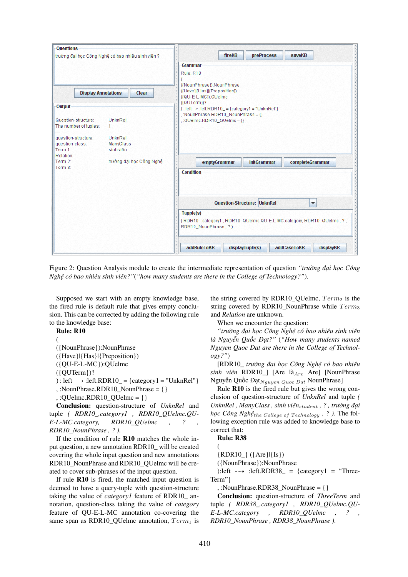| <b>Questions</b>                                                                                                                                                                                                                                                               |  |                                                                                                                                                                                                                                                                                                                                                                     |
|--------------------------------------------------------------------------------------------------------------------------------------------------------------------------------------------------------------------------------------------------------------------------------|--|---------------------------------------------------------------------------------------------------------------------------------------------------------------------------------------------------------------------------------------------------------------------------------------------------------------------------------------------------------------------|
| trường đai học Công Nghệ có bao nhiều sinh viên ?                                                                                                                                                                                                                              |  | fireKB<br><b>preProcess</b><br>saveKB                                                                                                                                                                                                                                                                                                                               |
| <b>Display Annotations</b><br><b>Clear</b><br>Output<br>Question-structure:<br>UnknRel<br>The number of tuples:<br>1.<br>question-structure:<br>UnknRel<br>question-class:<br>ManyClass<br>Term 1:<br>sinh viên<br>Relation:<br>trường đại học Công Nghệ<br>Term 2:<br>Term 3: |  | Grammar<br>Rule: R10<br>({NounPhrase}):NounPhrase<br>({Have}{{Has}}{Preposition})<br>({QU-E-L-MC}):QUelmc<br>((QUTerm))?<br>$\left  \cdot \right $ : left --> :left.RDR10_ = {category1 = "UnknRel"}<br>: : NounPhrase.RDR10 NounPhrase = $\{\}$<br>$\Omega$ :QUelmc.RDR10 QUelmc = {}<br><b>initGrammar</b><br>emptyGrammar<br>completeGrammar<br><b>Condition</b> |
|                                                                                                                                                                                                                                                                                |  | <b>Question-Structure: UnknRel</b><br>▼<br>Tupple(s)<br>(RDR10_category1, RDR10_QUelmc.QU-E-L-MC.category, RDR10_QUelmc, ?,<br>RDR10 NounPhrase. ?)<br>addRuleToKB<br>displayTuple(s)<br>addCaseToKB<br>displayKB                                                                                                                                                   |

Figure 2: Question Analysis module to create the intermediate representation of question *"trường đại học Công Nghệ có bao nhiêu sinh viên?"*(*"how many students are there in the College of Technology?"*).

Supposed we start with an empty knowledge base, the fired rule is default rule that gives empty conclusion. This can be corrected by adding the following rule to the knowledge base:

**Rule: R10**

(

({NounPhrase}):NounPhrase

({Have}|{Has}|{Preposition})

({QU-E-L-MC}):QUelmc

({QUTerm})?

) : left  $-\rightarrow$  :left.RDR10\_ = {category1 = "UnknRel"}

, :NounPhrase.RDR10\_NounPhrase =  $\{\}$ 

 $,$  :QUelmc.RDR10\_QUelmc = {}

**Conclusion:** question-structure of *UnknRel* and tuple *( RDR10\_.category1 , RDR10\_QUelmc.QU-E-L-MC.category, RDR10\_QUelmc , ? , RDR10\_NounPhrase , ? )*.

If the condition of rule **R10** matches the whole input question, a new annotation RDR10\_ will be created covering the whole input question and new annotations RDR10\_NounPhrase and RDR10\_QUelmc will be created to cover sub-phrases of the input question.

If rule **R10** is fired, the matched input question is deemed to have a query-tuple with question-structure taking the value of *category1* feature of RDR10\_ annotation, question-class taking the value of *category* feature of QU-E-L-MC annotation co-covering the same span as RDR10\_QUelmc annotation,  $Term_1$  is the string covered by RDR10\_QUelmc,  $Term_2$  is the string covered by RDR10\_NounPhrase while  $Term_3$ and *Relation* are unknown.

When we encounter the question:

*"trường đại học Công Nghệ có bao nhiêu sinh viên là Nguyễn Quốc Đạt?"* (*"How many students named Nguyen Quoc Dat are there in the College of Technology?"*)

[RDR10\_ *trường đại học Công Nghệ có bao nhiêu* sinh viên RDR10\_] [Are là<sub>Are</sub> Are] [NounPhrase Nguyễn Quốc Đạt $_{Nguyen\ Quoc\ Dat}$  NounPhrase]

Rule **R10** is the fired rule but gives the wrong conclusion of question-structure of *UnknRel* and tuple *( UnknRel , ManyClass , sinh viên*student *, ? , trường đại học Công Nghệ<sub>the College of Technology*, ?). The fol-</sub> lowing exception rule was added to knowledge base to correct that:

### **Rule: R38**

(

 ${RDR10}$   $({Are}||{Is})$ 

({NounPhrase}):NounPhrase

):left  $-\rightarrow$  :left.RDR38<sub>\_</sub> = {category1 = "Three-Term"}

, :NounPhrase.RDR38\_NounPhrase = {}

**Conclusion:** question-structure of *ThreeTerm* and tuple *( RDR38\_.category1 , RDR10\_QUelmc.QU-E-L-MC.category , RDR10\_QUelmc , ? , RDR10\_NounPhrase , RDR38\_NounPhrase )*.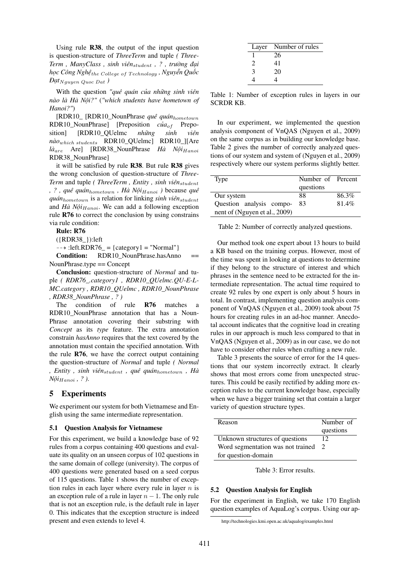Using rule **R38**, the output of the input question is question-structure of *ThreeTerm* and tuple *( Three-Term , ManyClass , sinh viên*student *, ? , trường đại học Công Nghệ*the College of T echnology *, Nguyễn Quốc Đạt*Nguyen Quoc Dat *)*

With the question *"quê quán của những sinh viên nào là Hà Nội?"* (*"which students have hometown of Hanoi?"*)

[RDR10\_ [RDR10\_NounPhrase *quê quán*hometown RDR10\_NounPhrase] [Preposition *của*of Preposition] [RDR10\_QUelmc *những sinh viên nào*which students RDR10\_QUelmc] RDR10\_][Are *là<sub>are</sub>* Are] [RDR38\_NounPhrase *Hà Nội*<sub>Hanoi</sub> RDR38\_NounPhrase]

it will be satisfied by rule **R38**. But rule **R38** gives the wrong conclusion of question-structure of *Three-Term* and tuple *( ThreeTerm , Entity , sinh viên*student *, ? , quê quán*hometown *, Hà Nội*Hanoi *)* because *quê quán*hometown is a relation for linking *sinh viên*student and *Hà Nội*<sub>Hanoi</sub>. We can add a following exception rule **R76** to correct the conclusion by using constrains via rule condition:

#### **Rule: R76**

({RDR38\_}):left

 $\leftarrow \rightarrow$  :left.RDR76\_ = {category1 = "Normal"}

**Condition:** RDR10\_NounPhrase.hasAnno == NounPhrase.type == Concept

**Conclusion:** question-structure of *Normal* and tuple *( RDR76\_.category1 , RDR10\_QUelmc.QU-E-L-MC.category , RDR10\_QUelmc , RDR10\_NounPhrase , RDR38\_NounPhrase , ? )*

The condition of rule **R76** matches a RDR10 NounPhrase annotation that has a Noun-Phrase annotation covering their substring with *Concept* as its *type* feature. The extra annotation constrain *hasAnno* requires that the text covered by the annotation must contain the specified annotation. With the rule **R76**, we have the correct output containing the question-structure of *Normal* and tuple *( Normal , Entity , sinh viên*student *, quê quán*hometown *, Hà*  $N\hat{o}i_{Hanoi}$ , ? ).

### **5 Experiments**

We experiment our system for both Vietnamese and English using the same intermediate representation.

#### **5.1 Question Analysis for Vietnamese**

For this experiment, we build a knowledge base of 92 rules from a corpus containing 400 questions and evaluate its quality on an unseen corpus of 102 questions in the same domain of college (university). The corpus of 400 questions were generated based on a seed corpus of 115 questions. Table 1 shows the number of exception rules in each layer where every rule in layer  $n$  is an exception rule of a rule in layer  $n - 1$ . The only rule that is not an exception rule, is the default rule in layer 0. This indicates that the exception structure is indeed present and even extends to level 4.

|   | Layer Number of rules |
|---|-----------------------|
|   | 26                    |
| 2 | 41                    |
| 3 | 20                    |
|   |                       |

Table 1: Number of exception rules in layers in our SCRDR KB.

In our experiment, we implemented the question analysis component of VnQAS (Nguyen et al., 2009) on the same corpus as in building our knowledge base. Table 2 gives the number of correctly analyzed questions of our system and system of (Nguyen et al., 2009) respectively where our system performs slightly better.

| Type                          | Number of Percent |       |
|-------------------------------|-------------------|-------|
|                               | questions         |       |
| Our system                    | 88                | 86.3% |
| Question analysis compo-      | -83               | 81.4% |
| nent of (Nguyen et al., 2009) |                   |       |

Table 2: Number of correctly analyzed questions.

Our method took one expert about 13 hours to build a KB based on the training corpus. However, most of the time was spent in looking at questions to determine if they belong to the structure of interest and which phrases in the sentence need to be extracted for the intermediate representation. The actual time required to create 92 rules by one expert is only about 5 hours in total. In contrast, implementing question analysis component of VnQAS (Nguyen et al., 2009) took about 75 hours for creating rules in an ad-hoc manner. Anecdotal account indicates that the cognitive load in creating rules in our approach is much less compared to that in VnQAS (Nguyen et al., 2009) as in our case, we do not have to consider other rules when crafting a new rule.

Table 3 presents the source of error for the 14 questions that our system incorrectly extract. It clearly shows that most errors come from unexpected structures. This could be easily rectified by adding more exception rules to the current knowledge base, especially when we have a bigger training set that contain a larger variety of question structure types.

| Reason                              | Number of |
|-------------------------------------|-----------|
|                                     | questions |
| Unknown structures of questions     | 12        |
| Word segmentation was not trained 2 |           |
| for question-domain                 |           |

Table 3: Error results.

### **5.2 Question Analysis for English**

For the experiment in English, we take 170 English question examples of AquaLog's corpus. Using our ap-

http://technologies.kmi.open.ac.uk/aqualog/examples.html